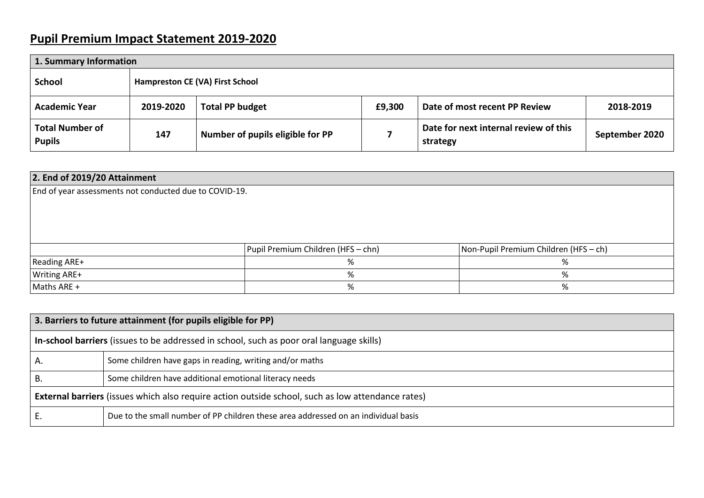## **Pupil Premium Impact Statement 2019-2020**

| 1. Summary Information                  |           |                                  |        |                                                   |                |  |  |
|-----------------------------------------|-----------|----------------------------------|--------|---------------------------------------------------|----------------|--|--|
| School                                  |           | Hampreston CE (VA) First School  |        |                                                   |                |  |  |
| <b>Academic Year</b>                    | 2019-2020 | <b>Total PP budget</b>           | £9,300 | Date of most recent PP Review                     | 2018-2019      |  |  |
| <b>Total Number of</b><br><b>Pupils</b> | 147       | Number of pupils eligible for PP |        | Date for next internal review of this<br>strategy | September 2020 |  |  |

| 2. End of 2019/20 Attainment                           |                                    |                                       |  |  |  |  |
|--------------------------------------------------------|------------------------------------|---------------------------------------|--|--|--|--|
| End of year assessments not conducted due to COVID-19. |                                    |                                       |  |  |  |  |
|                                                        |                                    |                                       |  |  |  |  |
|                                                        |                                    |                                       |  |  |  |  |
|                                                        |                                    |                                       |  |  |  |  |
|                                                        | Pupil Premium Children (HFS - chn) | Non-Pupil Premium Children (HFS - ch) |  |  |  |  |
| <b>Reading ARE+</b>                                    | %                                  | %                                     |  |  |  |  |
| <b>Writing ARE+</b>                                    | %                                  | %                                     |  |  |  |  |
| Maths ARE +                                            | %                                  | %                                     |  |  |  |  |

|                                                                                                          | 3. Barriers to future attainment (for pupils eligible for PP)                      |  |  |  |
|----------------------------------------------------------------------------------------------------------|------------------------------------------------------------------------------------|--|--|--|
| In-school barriers (issues to be addressed in school, such as poor oral language skills)                 |                                                                                    |  |  |  |
| Α.                                                                                                       | Some children have gaps in reading, writing and/or maths                           |  |  |  |
| В.                                                                                                       | Some children have additional emotional literacy needs                             |  |  |  |
| <b>External barriers</b> (issues which also require action outside school, such as low attendance rates) |                                                                                    |  |  |  |
|                                                                                                          | Due to the small number of PP children these area addressed on an individual basis |  |  |  |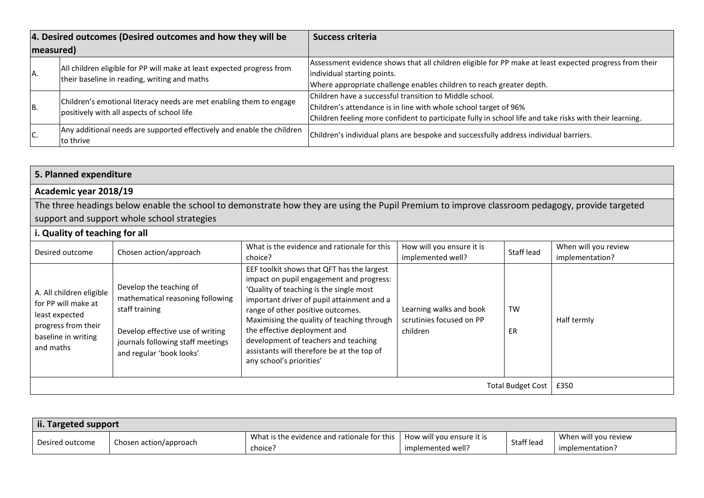|           | 4. Desired outcomes (Desired outcomes and how they will be             | <b>Success criteria</b>                                                                                 |  |
|-----------|------------------------------------------------------------------------|---------------------------------------------------------------------------------------------------------|--|
| measured) |                                                                        |                                                                                                         |  |
|           | All children eligible for PP will make at least expected progress from | Assessment evidence shows that all children eligible for PP make at least expected progress from their  |  |
| A.        | their baseline in reading, writing and maths                           | individual starting points.                                                                             |  |
|           |                                                                        | Where appropriate challenge enables children to reach greater depth.                                    |  |
|           | Children's emotional literacy needs are met enabling them to engage    | Children have a successful transition to Middle school.                                                 |  |
| IB.       | positively with all aspects of school life                             | Children's attendance is in line with whole school target of 96%                                        |  |
|           |                                                                        | Children feeling more confident to participate fully in school life and take risks with their learning. |  |
| C.        | Any additional needs are supported effectively and enable the children | Children's individual plans are bespoke and successfully address individual barriers.                   |  |
|           | to thrive                                                              |                                                                                                         |  |

|                                                                                                                              | 5. Planned expenditure                                                                                                                                                             |                                                                                                                                                                                                                                                                                                                                                                                                                      |                                                                 |                 |                                         |  |
|------------------------------------------------------------------------------------------------------------------------------|------------------------------------------------------------------------------------------------------------------------------------------------------------------------------------|----------------------------------------------------------------------------------------------------------------------------------------------------------------------------------------------------------------------------------------------------------------------------------------------------------------------------------------------------------------------------------------------------------------------|-----------------------------------------------------------------|-----------------|-----------------------------------------|--|
| Academic year 2018/19                                                                                                        |                                                                                                                                                                                    |                                                                                                                                                                                                                                                                                                                                                                                                                      |                                                                 |                 |                                         |  |
|                                                                                                                              |                                                                                                                                                                                    | The three headings below enable the school to demonstrate how they are using the Pupil Premium to improve classroom pedagogy, provide targeted                                                                                                                                                                                                                                                                       |                                                                 |                 |                                         |  |
|                                                                                                                              | support and support whole school strategies                                                                                                                                        |                                                                                                                                                                                                                                                                                                                                                                                                                      |                                                                 |                 |                                         |  |
| i. Quality of teaching for all                                                                                               |                                                                                                                                                                                    |                                                                                                                                                                                                                                                                                                                                                                                                                      |                                                                 |                 |                                         |  |
| Desired outcome                                                                                                              | Chosen action/approach                                                                                                                                                             | What is the evidence and rationale for this<br>choice?                                                                                                                                                                                                                                                                                                                                                               | How will you ensure it is<br>implemented well?                  | Staff lead      | When will you review<br>implementation? |  |
| A. All children eligible<br>for PP will make at<br>least expected<br>progress from their<br>baseline in writing<br>and maths | Develop the teaching of<br>mathematical reasoning following<br>staff training<br>Develop effective use of writing<br>journals following staff meetings<br>and regular 'book looks' | EEF toolkit shows that QFT has the largest<br>impact on pupil engagement and progress:<br>'Quality of teaching is the single most<br>important driver of pupil attainment and a<br>range of other positive outcomes.<br>Maximising the quality of teaching through<br>the effective deployment and<br>development of teachers and teaching<br>assistants will therefore be at the top of<br>any school's priorities' | Learning walks and book<br>scrutinies focused on PP<br>children | TW<br><b>ER</b> | Half termly                             |  |
|                                                                                                                              | <b>Total Budget Cost</b><br>£350                                                                                                                                                   |                                                                                                                                                                                                                                                                                                                                                                                                                      |                                                                 |                 |                                         |  |

| ii. Targeted support |                        |                                             |                           |            |                      |
|----------------------|------------------------|---------------------------------------------|---------------------------|------------|----------------------|
|                      | Chosen action/approach | What is the evidence and rationale for this | How will you ensure it is | Staff lead | When will you review |
| Desired outcome      |                        | choice?                                     | implemented well?         |            | implementation?      |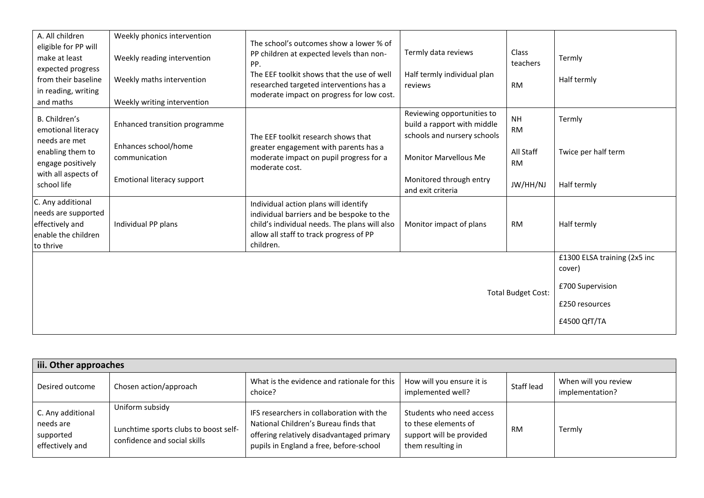| A. All children<br>eligible for PP will<br>make at least<br>expected progress<br>from their baseline<br>in reading, writing<br>and maths | Weekly phonics intervention<br>Weekly reading intervention<br>Weekly maths intervention<br>Weekly writing intervention | The school's outcomes show a lower % of<br>PP children at expected levels than non-<br>PP.<br>The EEF toolkit shows that the use of well<br>researched targeted interventions has a<br>moderate impact on progress for low cost. | Termly data reviews<br>Half termly individual plan<br>reviews                            | Class<br>teachers<br><b>RM</b> | Termly<br>Half termly                                                                        |
|------------------------------------------------------------------------------------------------------------------------------------------|------------------------------------------------------------------------------------------------------------------------|----------------------------------------------------------------------------------------------------------------------------------------------------------------------------------------------------------------------------------|------------------------------------------------------------------------------------------|--------------------------------|----------------------------------------------------------------------------------------------|
| B. Children's<br>emotional literacy<br>needs are met                                                                                     | Enhanced transition programme                                                                                          | The EEF toolkit research shows that                                                                                                                                                                                              | Reviewing opportunities to<br>build a rapport with middle<br>schools and nursery schools | <b>NH</b><br>RM                | Termly                                                                                       |
| enabling them to<br>engage positively                                                                                                    | Enhances school/home<br>communication                                                                                  | greater engagement with parents has a<br>moderate impact on pupil progress for a<br>moderate cost.                                                                                                                               | <b>Monitor Marvellous Me</b>                                                             | All Staff<br><b>RM</b>         | Twice per half term                                                                          |
| with all aspects of<br>school life                                                                                                       | Emotional literacy support                                                                                             |                                                                                                                                                                                                                                  | Monitored through entry<br>and exit criteria                                             | JW/HH/NJ                       | Half termly                                                                                  |
| C. Any additional<br>needs are supported<br>effectively and<br>enable the children<br>to thrive                                          | Individual PP plans                                                                                                    | Individual action plans will identify<br>individual barriers and be bespoke to the<br>child's individual needs. The plans will also<br>allow all staff to track progress of PP<br>children.                                      | Monitor impact of plans                                                                  | RM                             | Half termly                                                                                  |
|                                                                                                                                          |                                                                                                                        |                                                                                                                                                                                                                                  |                                                                                          | <b>Total Budget Cost:</b>      | £1300 ELSA training (2x5 inc<br>cover)<br>£700 Supervision<br>£250 resources<br>£4500 QfT/TA |

|                                                                | iii. Other approaches                                                                    |                                                                                                                                                                            |                                                                                                   |            |                                         |  |  |
|----------------------------------------------------------------|------------------------------------------------------------------------------------------|----------------------------------------------------------------------------------------------------------------------------------------------------------------------------|---------------------------------------------------------------------------------------------------|------------|-----------------------------------------|--|--|
| Desired outcome                                                | Chosen action/approach                                                                   | What is the evidence and rationale for this<br>choice?                                                                                                                     | How will you ensure it is<br>implemented well?                                                    | Staff lead | When will you review<br>implementation? |  |  |
| C. Any additional<br>needs are<br>supported<br>effectively and | Uniform subsidy<br>Lunchtime sports clubs to boost self-<br>confidence and social skills | IFS researchers in collaboration with the<br>National Children's Bureau finds that<br>offering relatively disadvantaged primary<br>pupils in England a free, before-school | Students who need access<br>to these elements of<br>support will be provided<br>them resulting in | <b>RM</b>  | Termly                                  |  |  |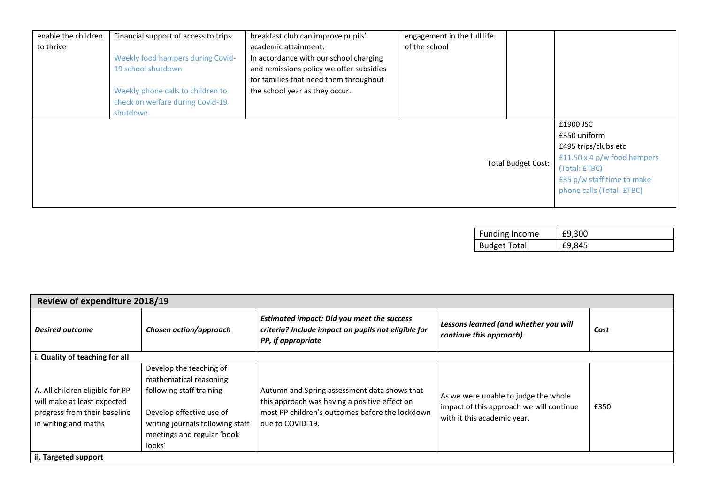| enable the children | Financial support of access to trips | breakfast club can improve pupils'       | engagement in the full life |                           |                             |
|---------------------|--------------------------------------|------------------------------------------|-----------------------------|---------------------------|-----------------------------|
| to thrive           |                                      | academic attainment.                     | of the school               |                           |                             |
|                     | Weekly food hampers during Covid-    | In accordance with our school charging   |                             |                           |                             |
|                     | 19 school shutdown                   | and remissions policy we offer subsidies |                             |                           |                             |
|                     |                                      | for families that need them throughout   |                             |                           |                             |
|                     | Weekly phone calls to children to    | the school year as they occur.           |                             |                           |                             |
|                     | check on welfare during Covid-19     |                                          |                             |                           |                             |
|                     | shutdown                             |                                          |                             |                           |                             |
|                     |                                      |                                          |                             |                           | £1900 JSC                   |
|                     |                                      |                                          |                             |                           | £350 uniform                |
|                     |                                      |                                          |                             |                           | £495 trips/clubs etc        |
|                     |                                      |                                          |                             |                           | £11.50 x 4 p/w food hampers |
|                     |                                      |                                          |                             | <b>Total Budget Cost:</b> | (Total: £TBC)               |
|                     |                                      |                                          |                             |                           | £35 p/w staff time to make  |
|                     |                                      |                                          |                             |                           | phone calls (Total: £TBC)   |
|                     |                                      |                                          |                             |                           |                             |

| <b>Funding Income</b> | E9,300 |
|-----------------------|--------|
| <b>Budget Total</b>   | E9,845 |

| <b>Review of expenditure 2018/19</b>                                                                                   |                                                                                                                                                                                       |                                                                                                                                                                      |                                                                                                                 |      |  |  |
|------------------------------------------------------------------------------------------------------------------------|---------------------------------------------------------------------------------------------------------------------------------------------------------------------------------------|----------------------------------------------------------------------------------------------------------------------------------------------------------------------|-----------------------------------------------------------------------------------------------------------------|------|--|--|
| <b>Desired outcome</b>                                                                                                 | Chosen action/approach                                                                                                                                                                | <b>Estimated impact: Did you meet the success</b><br>criteria? Include impact on pupils not eligible for<br>PP, if appropriate                                       | Lessons learned (and whether you will<br>continue this approach)                                                | Cost |  |  |
| i. Quality of teaching for all                                                                                         |                                                                                                                                                                                       |                                                                                                                                                                      |                                                                                                                 |      |  |  |
| A. All children eligible for PP<br>will make at least expected<br>progress from their baseline<br>in writing and maths | Develop the teaching of<br>mathematical reasoning<br>following staff training<br>Develop effective use of<br>writing journals following staff<br>meetings and regular 'book<br>looks' | Autumn and Spring assessment data shows that<br>this approach was having a positive effect on<br>most PP children's outcomes before the lockdown<br>due to COVID-19. | As we were unable to judge the whole<br>impact of this approach we will continue<br>with it this academic year. | £350 |  |  |
| ii. Targeted support                                                                                                   |                                                                                                                                                                                       |                                                                                                                                                                      |                                                                                                                 |      |  |  |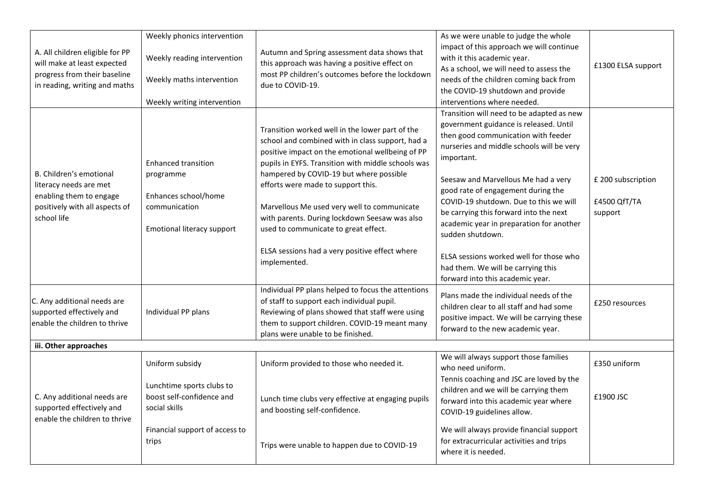| A. All children eligible for PP<br>will make at least expected<br>progress from their baseline<br>in reading, writing and maths | Weekly phonics intervention<br>Weekly reading intervention<br>Weekly maths intervention | Autumn and Spring assessment data shows that<br>this approach was having a positive effect on<br>most PP children's outcomes before the lockdown<br>due to COVID-19.                                                                      | As we were unable to judge the whole<br>impact of this approach we will continue<br>with it this academic year.<br>As a school, we will need to assess the<br>needs of the children coming back from<br>the COVID-19 shutdown and provide | £1300 ELSA support      |
|---------------------------------------------------------------------------------------------------------------------------------|-----------------------------------------------------------------------------------------|-------------------------------------------------------------------------------------------------------------------------------------------------------------------------------------------------------------------------------------------|-------------------------------------------------------------------------------------------------------------------------------------------------------------------------------------------------------------------------------------------|-------------------------|
|                                                                                                                                 | Weekly writing intervention                                                             |                                                                                                                                                                                                                                           | interventions where needed.                                                                                                                                                                                                               |                         |
|                                                                                                                                 | <b>Enhanced transition</b>                                                              | Transition worked well in the lower part of the<br>school and combined with in class support, had a<br>positive impact on the emotional wellbeing of PP<br>pupils in EYFS. Transition with middle schools was                             | Transition will need to be adapted as new<br>government guidance is released. Until<br>then good communication with feeder<br>nurseries and middle schools will be very<br>important.                                                     |                         |
| B. Children's emotional<br>literacy needs are met                                                                               | programme                                                                               | hampered by COVID-19 but where possible<br>efforts were made to support this.                                                                                                                                                             | Seesaw and Marvellous Me had a very<br>good rate of engagement during the                                                                                                                                                                 | £ 200 subscription      |
| enabling them to engage<br>positively with all aspects of<br>school life                                                        | Enhances school/home<br>communication<br>Emotional literacy support                     | Marvellous Me used very well to communicate<br>with parents. During lockdown Seesaw was also<br>used to communicate to great effect.                                                                                                      | COVID-19 shutdown. Due to this we will<br>be carrying this forward into the next<br>academic year in preparation for another<br>sudden shutdown.                                                                                          | £4500 QfT/TA<br>support |
|                                                                                                                                 |                                                                                         | ELSA sessions had a very positive effect where<br>implemented.                                                                                                                                                                            | ELSA sessions worked well for those who<br>had them. We will be carrying this<br>forward into this academic year.                                                                                                                         |                         |
| C. Any additional needs are<br>supported effectively and<br>enable the children to thrive                                       | Individual PP plans                                                                     | Individual PP plans helped to focus the attentions<br>of staff to support each individual pupil.<br>Reviewing of plans showed that staff were using<br>them to support children. COVID-19 meant many<br>plans were unable to be finished. | Plans made the individual needs of the<br>children clear to all staff and had some<br>positive impact. We will be carrying these<br>forward to the new academic year.                                                                     | £250 resources          |
| iii. Other approaches                                                                                                           |                                                                                         |                                                                                                                                                                                                                                           |                                                                                                                                                                                                                                           |                         |
|                                                                                                                                 | Uniform subsidy                                                                         | Uniform provided to those who needed it.                                                                                                                                                                                                  | We will always support those families<br>who need uniform.                                                                                                                                                                                | £350 uniform            |
| C. Any additional needs are<br>supported effectively and<br>enable the children to thrive                                       | Lunchtime sports clubs to<br>boost self-confidence and<br>social skills                 | Lunch time clubs very effective at engaging pupils<br>and boosting self-confidence.                                                                                                                                                       | Tennis coaching and JSC are loved by the<br>children and we will be carrying them<br>forward into this academic year where<br>COVID-19 guidelines allow.                                                                                  | £1900 JSC               |
|                                                                                                                                 | Financial support of access to<br>trips                                                 | Trips were unable to happen due to COVID-19                                                                                                                                                                                               | We will always provide financial support<br>for extracurricular activities and trips<br>where it is needed.                                                                                                                               |                         |